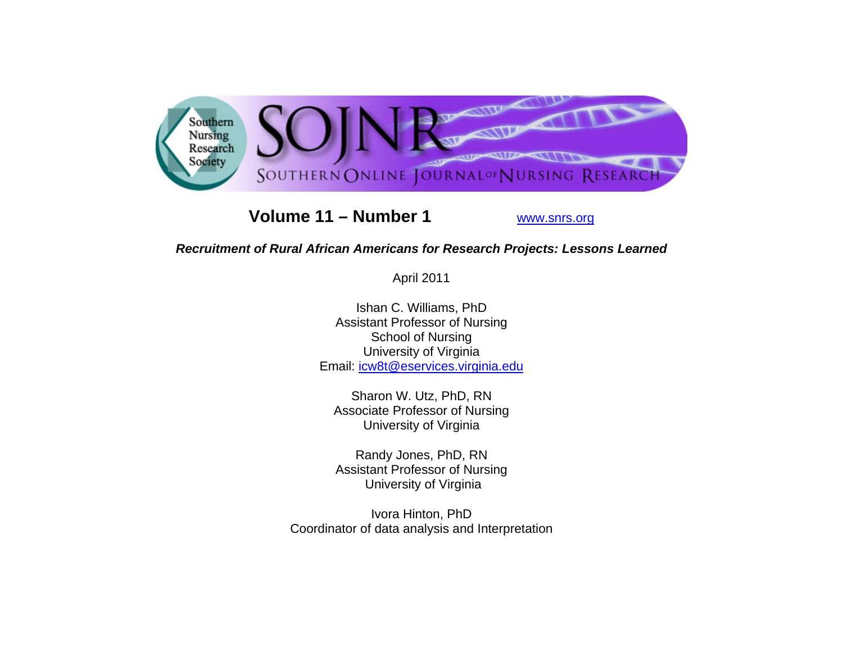

# **Volume 11 – Number 1**

www.snrs.org

## *Recruitment of Rural African Americans for Research Projects: Lessons Learned*

April 2011

Ishan C. Williams, PhD Assistant Professor of Nursing School of Nursing University of Virginia Email: icw8t@eservices.virginia.edu

Sharon W. Utz, PhD, RN Associate Professor of Nursing University of Virginia

Randy Jones, PhD, RN Assistant Professor of Nursing University of Virginia

Ivora Hinton, PhD Coordinator of data analysis and Interpretation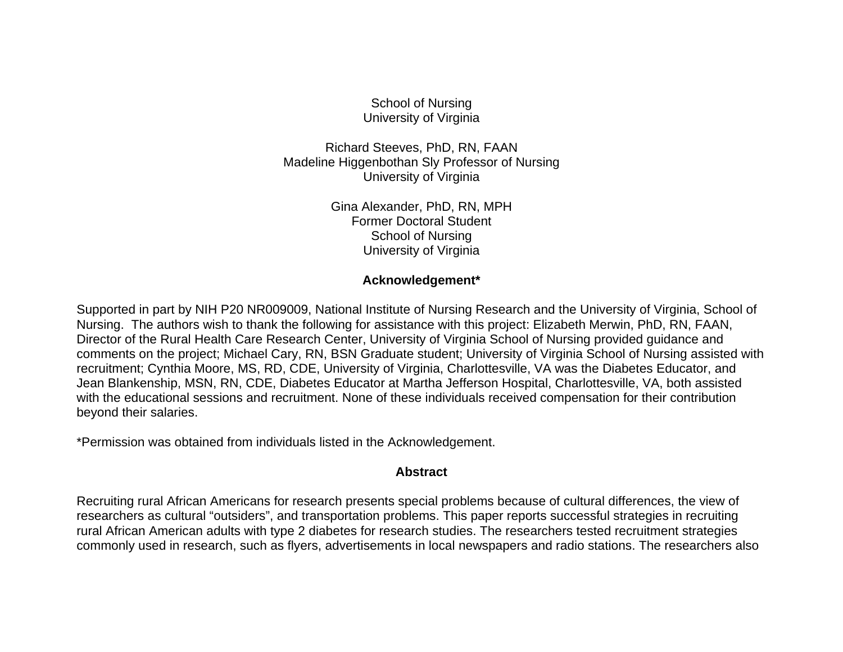School of Nursing University of Virginia

Richard Steeves, PhD, RN, FAAN Madeline Higgenbothan Sly Professor of Nursing University of Virginia

> Gina Alexander, PhD, RN, MPH Former Doctoral Student School of Nursing University of Virginia

#### **Acknowledgement\***

Supported in part by NIH P20 NR009009, National Institute of Nursing Research and the University of Virginia, School of Nursing. The authors wish to thank the following for assistance with this project: Elizabeth Merwin, PhD, RN, FAAN, Director of the Rural Health Care Research Center, University of Virginia School of Nursing provided guidance and comments on the project; Michael Cary, RN, BSN Graduate student; University of Virginia School of Nursing assisted with recruitment; Cynthia Moore, MS, RD, CDE, University of Virginia, Charlottesville, VA was the Diabetes Educator, and Jean Blankenship, MSN, RN, CDE, Diabetes Educator at Martha Jefferson Hospital, Charlottesville, VA, both assisted with the educational sessions and recruitment. None of these individuals received compensation for their contribution beyond their salaries.

\*Permission was obtained from individuals listed in the Acknowledgement.

#### **Abstract**

Recruiting rural African Americans for research presents special problems because of cultural differences, the view of researchers as cultural "outsiders", and transportation problems. This paper reports successful strategies in recruiting rural African American adults with type 2 diabetes for research studies. The researchers tested recruitment strategies commonly used in research, such as flyers, advertisements in local newspapers and radio stations. The researchers also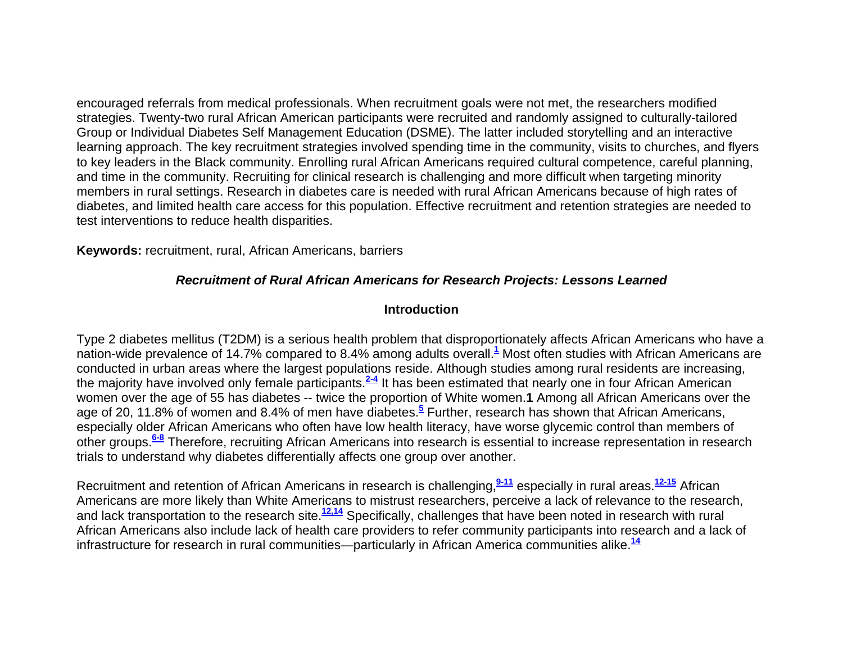encouraged referrals from medical professionals. When recruitment goals were not met, the researchers modified strategies. Twenty-two rural African American participants were recruited and randomly assigned to culturally-tailored Group or Individual Diabetes Self Management Education (DSME). The latter included storytelling and an interactive learning approach. The key recruitment strategies involved spending time in the community, visits to churches, and flyers to key leaders in the Black community. Enrolling rural African Americans required cultural competence, careful planning, and time in the community. Recruiting for clinical research is challenging and more difficult when targeting minority members in rural settings. Research in diabetes care is needed with rural African Americans because of high rates of diabetes, and limited health care access for this population. Effective recruitment and retention strategies are needed to test interventions to reduce health disparities.

**Keywords:** recruitment, rural, African Americans, barriers

### *Recruitment of Rural African Americans for Research Projects: Lessons Learned*

### **Introduction**

Type 2 diabetes mellitus (T2DM) is a serious health problem that disproportionately affects African Americans who have a nation-wide prevalence of 14.7% compared to 8.4% among adults overall.**<sup>1</sup>** Most often studies with African Americans are conducted in urban areas where the largest populations reside. Although studies among rural residents are increasing, the majority have involved only female participants.**2-4** It has been estimated that nearly one in four African American women over the age of 55 has diabetes -- twice the proportion of White women.**1** Among all African Americans over the age of 20, 11.8% of women and 8.4% of men have diabetes.**<sup>5</sup>** Further, research has shown that African Americans, especially older African Americans who often have low health literacy, have worse glycemic control than members of other groups.**6-8** Therefore, recruiting African Americans into research is essential to increase representation in research trials to understand why diabetes differentially affects one group over another.

Recruitment and retention of African Americans in research is challenging,**9-11** especially in rural areas.**12-15** African Americans are more likely than White Americans to mistrust researchers, perceive a lack of relevance to the research, and lack transportation to the research site.**12,14** Specifically, challenges that have been noted in research with rural African Americans also include lack of health care providers to refer community participants into research and a lack of infrastructure for research in rural communities—particularly in African America communities alike.**<sup>14</sup>**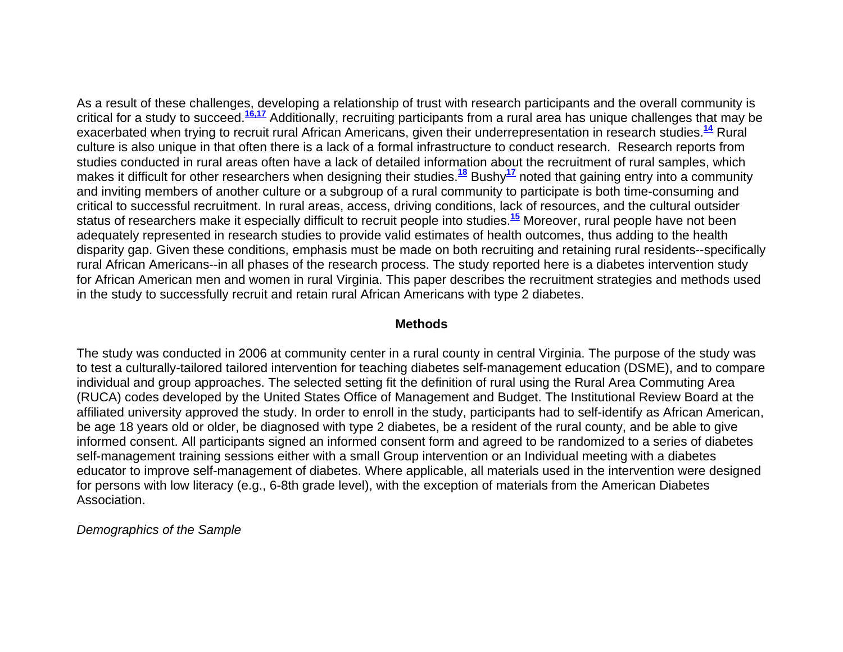As a result of these challenges, developing a relationship of trust with research participants and the overall community is critical for a study to succeed.**16,17** Additionally, recruiting participants from a rural area has unique challenges that may be exacerbated when trying to recruit rural African Americans, given their underrepresentation in research studies.**<sup>14</sup>** Rural culture is also unique in that often there is a lack of a formal infrastructure to conduct research. Research reports from studies conducted in rural areas often have a lack of detailed information about the recruitment of rural samples, which makes it difficult for other researchers when designing their studies.**<sup>18</sup>** Bushy**<sup>17</sup>** noted that gaining entry into a community and inviting members of another culture or a subgroup of a rural community to participate is both time-consuming and critical to successful recruitment. In rural areas, access, driving conditions, lack of resources, and the cultural outsider status of researchers make it especially difficult to recruit people into studies.**<sup>15</sup>** Moreover, rural people have not been adequately represented in research studies to provide valid estimates of health outcomes, thus adding to the health disparity gap. Given these conditions, emphasis must be made on both recruiting and retaining rural residents--specifically rural African Americans--in all phases of the research process. The study reported here is a diabetes intervention study for African American men and women in rural Virginia. This paper describes the recruitment strategies and methods used in the study to successfully recruit and retain rural African Americans with type 2 diabetes.

#### **Methods**

The study was conducted in 2006 at community center in a rural county in central Virginia. The purpose of the study was to test a culturally-tailored tailored intervention for teaching diabetes self-management education (DSME), and to compare individual and group approaches. The selected setting fit the definition of rural using the Rural Area Commuting Area (RUCA) codes developed by the United States Office of Management and Budget. The Institutional Review Board at the affiliated university approved the study. In order to enroll in the study, participants had to self-identify as African American, be age 18 years old or older, be diagnosed with type 2 diabetes, be a resident of the rural county, and be able to give informed consent. All participants signed an informed consent form and agreed to be randomized to a series of diabetes self-management training sessions either with a small Group intervention or an Individual meeting with a diabetes educator to improve self-management of diabetes. Where applicable, all materials used in the intervention were designed for persons with low literacy (e.g., 6-8th grade level), with the exception of materials from the American Diabetes Association.

*Demographics of the Sample*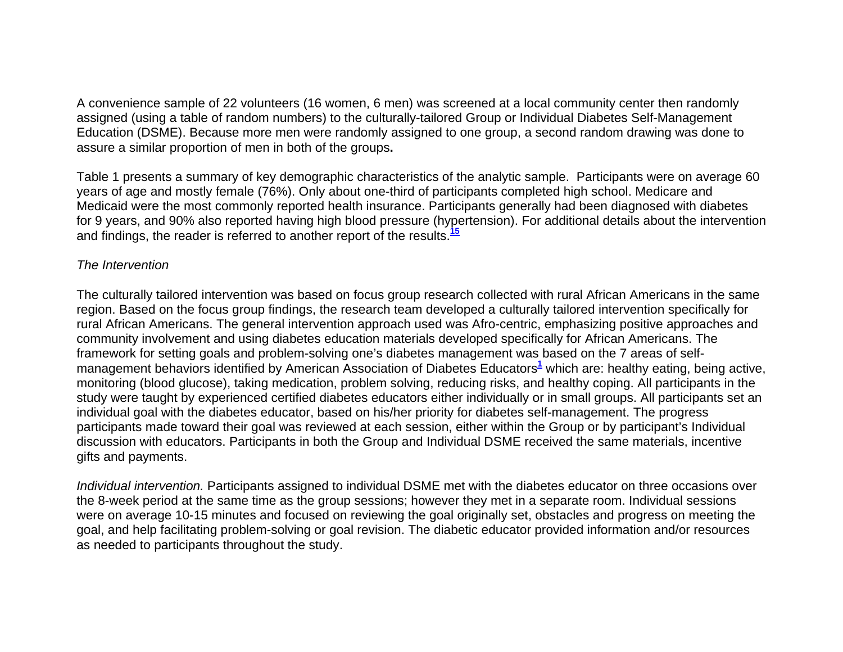A convenience sample of 22 volunteers (16 women, 6 men) was screened at a local community center then randomly assigned (using a table of random numbers) to the culturally-tailored Group or Individual Diabetes Self-Management Education (DSME). Because more men were randomly assigned to one group, a second random drawing was done to assure a similar proportion of men in both of the groups**.** 

Table 1 presents a summary of key demographic characteristics of the analytic sample. Participants were on average 60 years of age and mostly female (76%). Only about one-third of participants completed high school. Medicare and Medicaid were the most commonly reported health insurance. Participants generally had been diagnosed with diabetes for 9 years, and 90% also reported having high blood pressure (hypertension). For additional details about the intervention and findings, the reader is referred to another report of the results.**<sup>15</sup>**

### *The Intervention*

The culturally tailored intervention was based on focus group research collected with rural African Americans in the same region. Based on the focus group findings, the research team developed a culturally tailored intervention specifically for rural African Americans. The general intervention approach used was Afro-centric, emphasizing positive approaches and community involvement and using diabetes education materials developed specifically for African Americans. The framework for setting goals and problem-solving one's diabetes management was based on the 7 areas of selfmanagement behaviors identified by American Association of Diabetes Educators<sup>1</sup> which are: healthy eating, being active, monitoring (blood glucose), taking medication, problem solving, reducing risks, and healthy coping. All participants in the study were taught by experienced certified diabetes educators either individually or in small groups. All participants set an individual goal with the diabetes educator, based on his/her priority for diabetes self-management. The progress participants made toward their goal was reviewed at each session, either within the Group or by participant's Individual discussion with educators. Participants in both the Group and Individual DSME received the same materials, incentive gifts and payments.

*Individual intervention.* Participants assigned to individual DSME met with the diabetes educator on three occasions over the 8-week period at the same time as the group sessions; however they met in a separate room. Individual sessions were on average 10-15 minutes and focused on reviewing the goal originally set, obstacles and progress on meeting the goal, and help facilitating problem-solving or goal revision. The diabetic educator provided information and/or resources as needed to participants throughout the study.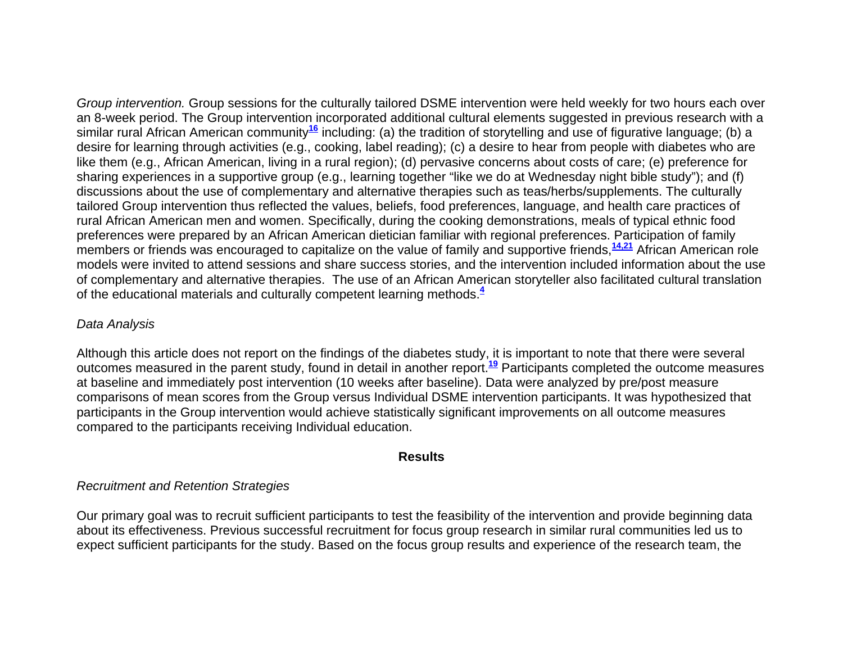*Group intervention.* Group sessions for the culturally tailored DSME intervention were held weekly for two hours each over an 8-week period. The Group intervention incorporated additional cultural elements suggested in previous research with a similar rural African American community**<sup>16</sup>** including: (a) the tradition of storytelling and use of figurative language; (b) a desire for learning through activities (e.g., cooking, label reading); (c) a desire to hear from people with diabetes who are like them (e.g., African American, living in a rural region); (d) pervasive concerns about costs of care; (e) preference for sharing experiences in a supportive group (e.g., learning together "like we do at Wednesday night bible study"); and (f) discussions about the use of complementary and alternative therapies such as teas/herbs/supplements. The culturally tailored Group intervention thus reflected the values, beliefs, food preferences, language, and health care practices of rural African American men and women. Specifically, during the cooking demonstrations, meals of typical ethnic food preferences were prepared by an African American dietician familiar with regional preferences. Participation of family members or friends was encouraged to capitalize on the value of family and supportive friends,**14,21** African American role models were invited to attend sessions and share success stories, and the intervention included information about the use of complementary and alternative therapies. The use of an African American storyteller also facilitated cultural translation of the educational materials and culturally competent learning methods.**<sup>4</sup>**

### *Data Analysis*

Although this article does not report on the findings of the diabetes study, it is important to note that there were several outcomes measured in the parent study, found in detail in another report.**<sup>19</sup>** Participants completed the outcome measures at baseline and immediately post intervention (10 weeks after baseline). Data were analyzed by pre/post measure comparisons of mean scores from the Group versus Individual DSME intervention participants. It was hypothesized that participants in the Group intervention would achieve statistically significant improvements on all outcome measures compared to the participants receiving Individual education.

#### **Results**

#### *Recruitment and Retention Strategies*

Our primary goal was to recruit sufficient participants to test the feasibility of the intervention and provide beginning data about its effectiveness. Previous successful recruitment for focus group research in similar rural communities led us to expect sufficient participants for the study. Based on the focus group results and experience of the research team, the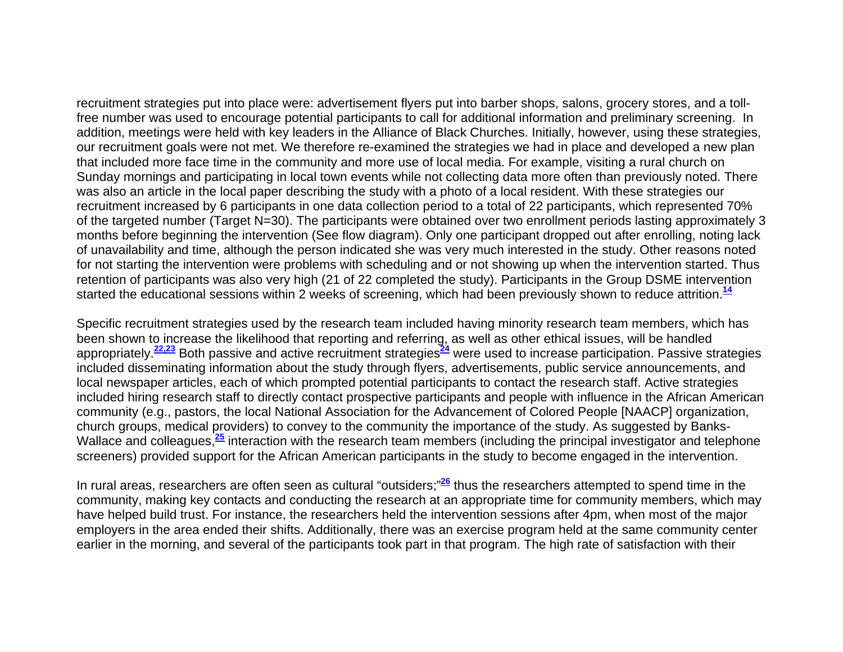recruitment strategies put into place were: advertisement flyers put into barber shops, salons, grocery stores, and a tollfree number was used to encourage potential participants to call for additional information and preliminary screening. In addition, meetings were held with key leaders in the Alliance of Black Churches. Initially, however, using these strategies, our recruitment goals were not met. We therefore re-examined the strategies we had in place and developed a new plan that included more face time in the community and more use of local media. For example, visiting a rural church on Sunday mornings and participating in local town events while not collecting data more often than previously noted. There was also an article in the local paper describing the study with a photo of a local resident. With these strategies our recruitment increased by 6 participants in one data collection period to a total of 22 participants, which represented 70% of the targeted number (Target N=30). The participants were obtained over two enrollment periods lasting approximately 3 months before beginning the intervention (See flow diagram). Only one participant dropped out after enrolling, noting lack of unavailability and time, although the person indicated she was very much interested in the study. Other reasons noted for not starting the intervention were problems with scheduling and or not showing up when the intervention started. Thus retention of participants was also very high (21 of 22 completed the study). Participants in the Group DSME intervention started the educational sessions within 2 weeks of screening, which had been previously shown to reduce attrition.**<sup>14</sup>**

Specific recruitment strategies used by the research team included having minority research team members, which has been shown to increase the likelihood that reporting and referring, as well as other ethical issues, will be handled appropriately.**22,23** Both passive and active recruitment strategies**<sup>24</sup>** were used to increase participation. Passive strategies included disseminating information about the study through flyers, advertisements, public service announcements, and local newspaper articles, each of which prompted potential participants to contact the research staff. Active strategies included hiring research staff to directly contact prospective participants and people with influence in the African American community (e.g., pastors, the local National Association for the Advancement of Colored People [NAACP] organization, church groups, medical providers) to convey to the community the importance of the study. As suggested by Banks-Wallace and colleagues,<sup>25</sup> interaction with the research team members (including the principal investigator and telephone screeners) provided support for the African American participants in the study to become engaged in the intervention.

In rural areas, researchers are often seen as cultural "outsiders;"**<sup>26</sup>** thus the researchers attempted to spend time in the community, making key contacts and conducting the research at an appropriate time for community members, which may have helped build trust. For instance, the researchers held the intervention sessions after 4pm, when most of the major employers in the area ended their shifts. Additionally, there was an exercise program held at the same community center earlier in the morning, and several of the participants took part in that program. The high rate of satisfaction with their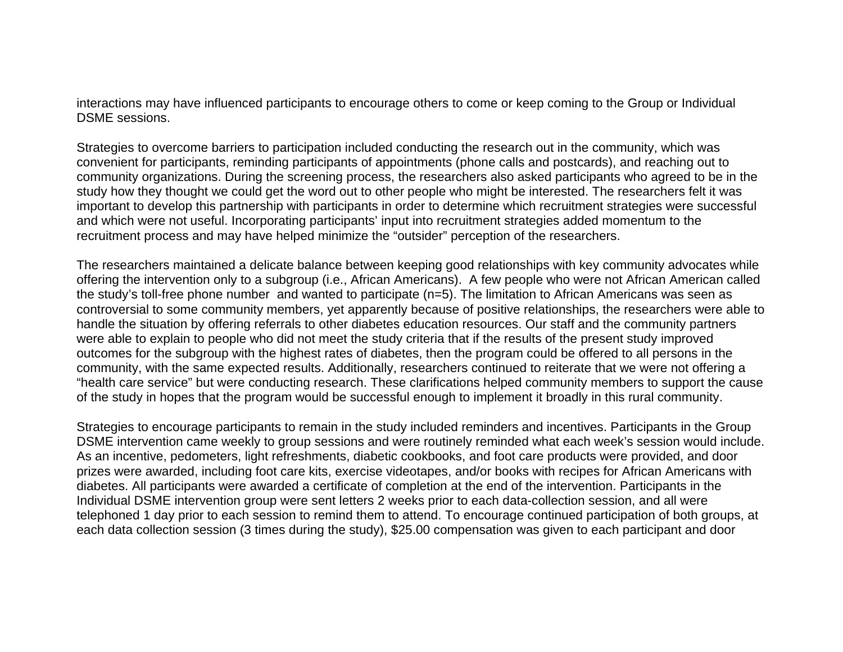interactions may have influenced participants to encourage others to come or keep coming to the Group or Individual DSME sessions.

Strategies to overcome barriers to participation included conducting the research out in the community, which was convenient for participants, reminding participants of appointments (phone calls and postcards), and reaching out to community organizations. During the screening process, the researchers also asked participants who agreed to be in the study how they thought we could get the word out to other people who might be interested. The researchers felt it was important to develop this partnership with participants in order to determine which recruitment strategies were successful and which were not useful. Incorporating participants' input into recruitment strategies added momentum to the recruitment process and may have helped minimize the "outsider" perception of the researchers.

The researchers maintained a delicate balance between keeping good relationships with key community advocates while offering the intervention only to a subgroup (i.e., African Americans). A few people who were not African American called the study's toll-free phone number and wanted to participate (n=5). The limitation to African Americans was seen as controversial to some community members, yet apparently because of positive relationships, the researchers were able to handle the situation by offering referrals to other diabetes education resources. Our staff and the community partners were able to explain to people who did not meet the study criteria that if the results of the present study improved outcomes for the subgroup with the highest rates of diabetes, then the program could be offered to all persons in the community, with the same expected results. Additionally, researchers continued to reiterate that we were not offering a "health care service" but were conducting research. These clarifications helped community members to support the cause of the study in hopes that the program would be successful enough to implement it broadly in this rural community.

Strategies to encourage participants to remain in the study included reminders and incentives. Participants in the Group DSME intervention came weekly to group sessions and were routinely reminded what each week's session would include. As an incentive, pedometers, light refreshments, diabetic cookbooks, and foot care products were provided, and door prizes were awarded, including foot care kits, exercise videotapes, and/or books with recipes for African Americans with diabetes. All participants were awarded a certificate of completion at the end of the intervention. Participants in the Individual DSME intervention group were sent letters 2 weeks prior to each data-collection session, and all were telephoned 1 day prior to each session to remind them to attend. To encourage continued participation of both groups, at each data collection session (3 times during the study), \$25.00 compensation was given to each participant and door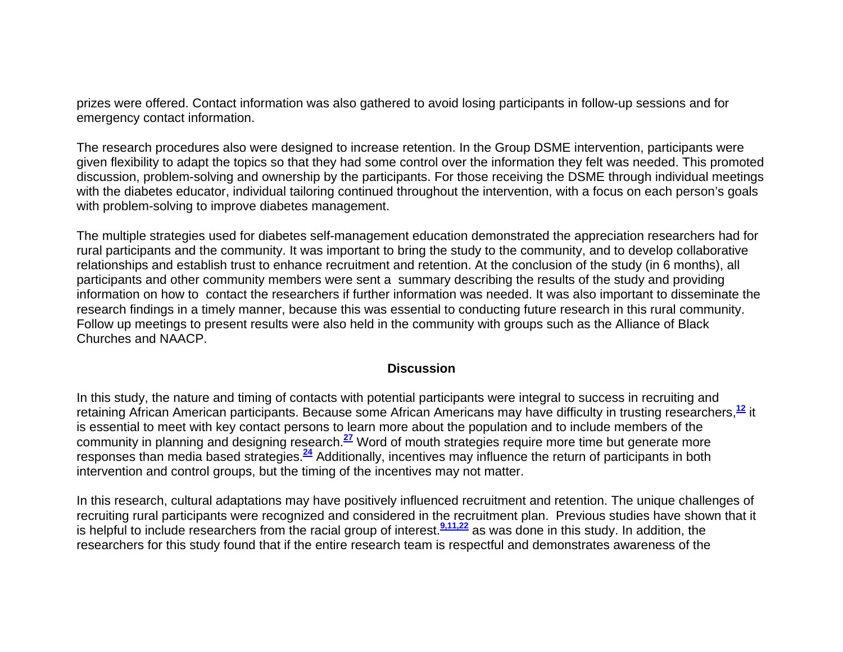prizes were offered. Contact information was also gathered to avoid losing participants in follow-up sessions and for emergency contact information.

The research procedures also were designed to increase retention. In the Group DSME intervention, participants were given flexibility to adapt the topics so that they had some control over the information they felt was needed. This promoted discussion, problem-solving and ownership by the participants. For those receiving the DSME through individual meetings with the diabetes educator, individual tailoring continued throughout the intervention, with a focus on each person's goals with problem-solving to improve diabetes management.

The multiple strategies used for diabetes self-management education demonstrated the appreciation researchers had for rural participants and the community. It was important to bring the study to the community, and to develop collaborative relationships and establish trust to enhance recruitment and retention. At the conclusion of the study (in 6 months), all participants and other community members were sent a summary describing the results of the study and providing information on how to contact the researchers if further information was needed. It was also important to disseminate the research findings in a timely manner, because this was essential to conducting future research in this rural community. Follow up meetings to present results were also held in the community with groups such as the Alliance of Black Churches and NAACP.

#### **Discussion**

In this study, the nature and timing of contacts with potential participants were integral to success in recruiting and retaining African American participants. Because some African Americans may have difficulty in trusting researchers,**<sup>12</sup>** it is essential to meet with key contact persons to learn more about the population and to include members of the community in planning and designing research.**<sup>27</sup>** Word of mouth strategies require more time but generate more responses than media based strategies.**<sup>24</sup>** Additionally, incentives may influence the return of participants in both intervention and control groups, but the timing of the incentives may not matter.

In this research, cultural adaptations may have positively influenced recruitment and retention. The unique challenges of recruiting rural participants were recognized and considered in the recruitment plan. Previous studies have shown that it is helpful to include researchers from the racial group of interest.**9,11,22** as was done in this study. In addition, the researchers for this study found that if the entire research team is respectful and demonstrates awareness of the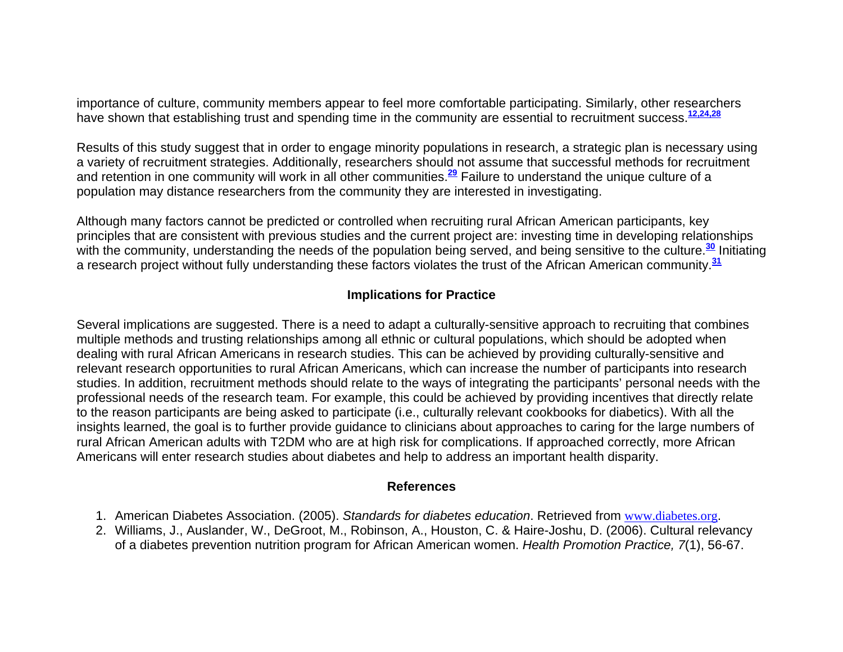importance of culture, community members appear to feel more comfortable participating. Similarly, other researchers have shown that establishing trust and spending time in the community are essential to recruitment success.**12,24,28**

Results of this study suggest that in order to engage minority populations in research, a strategic plan is necessary using a variety of recruitment strategies. Additionally, researchers should not assume that successful methods for recruitment and retention in one community will work in all other communities.**<sup>29</sup>** Failure to understand the unique culture of a population may distance researchers from the community they are interested in investigating.

Although many factors cannot be predicted or controlled when recruiting rural African American participants, key principles that are consistent with previous studies and the current project are: investing time in developing relationships with the community, understanding the needs of the population being served, and being sensitive to the culture.<sup>30</sup> Initiating a research project without fully understanding these factors violates the trust of the African American community.**<sup>31</sup>**

## **Implications for Practice**

Several implications are suggested. There is a need to adapt a culturally-sensitive approach to recruiting that combines multiple methods and trusting relationships among all ethnic or cultural populations, which should be adopted when dealing with rural African Americans in research studies. This can be achieved by providing culturally-sensitive and relevant research opportunities to rural African Americans, which can increase the number of participants into research studies. In addition, recruitment methods should relate to the ways of integrating the participants' personal needs with the professional needs of the research team. For example, this could be achieved by providing incentives that directly relate to the reason participants are being asked to participate (i.e., culturally relevant cookbooks for diabetics). With all the insights learned, the goal is to further provide guidance to clinicians about approaches to caring for the large numbers of rural African American adults with T2DM who are at high risk for complications. If approached correctly, more African Americans will enter research studies about diabetes and help to address an important health disparity.

## **References**

- 1. American Diabetes Association. (2005). *Standards for diabetes education*. Retrieved from www.diabetes.org.
- 2. Williams, J., Auslander, W., DeGroot, M., Robinson, A., Houston, C. & Haire-Joshu, D. (2006). Cultural relevancy of a diabetes prevention nutrition program for African American women. *Health Promotion Practice, 7*(1), 56-67.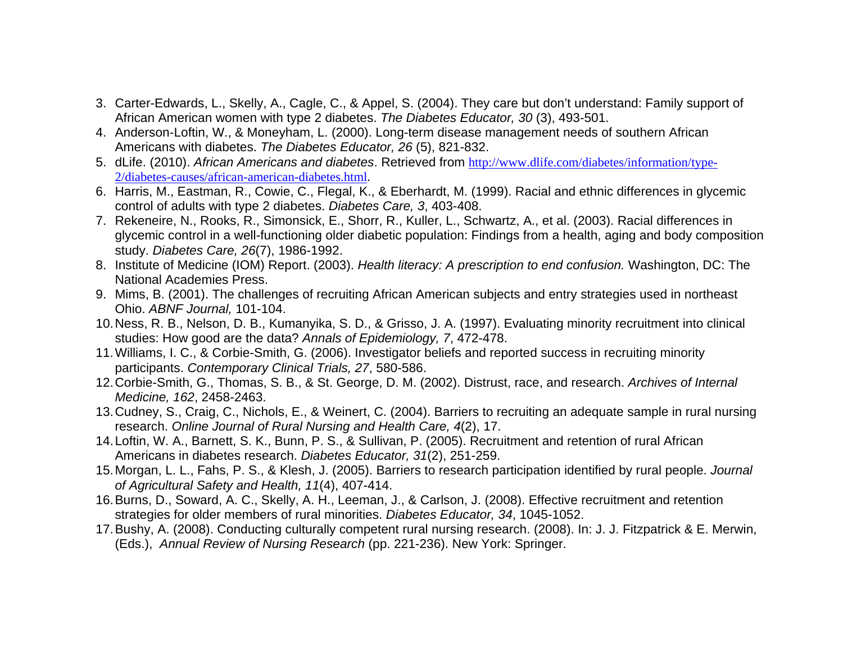- 3. Carter-Edwards, L., Skelly, A., Cagle, C., & Appel, S. (2004). They care but don't understand: Family support of African American women with type 2 diabetes. *The Diabetes Educator, 30* (3), 493-501.
- 4. Anderson-Loftin, W., & Moneyham, L. (2000). Long-term disease management needs of southern African Americans with diabetes. *The Diabetes Educator, 26* (5), 821-832.
- 5. dLife. (2010). *African Americans and diabetes*. Retrieved from http://www.dlife.com/diabetes/information/type-2/diabetes-causes/african-american-diabetes.html.
- 6. Harris, M., Eastman, R., Cowie, C., Flegal, K., & Eberhardt, M. (1999). Racial and ethnic differences in glycemic control of adults with type 2 diabetes. *Diabetes Care, 3*, 403-408.
- 7. Rekeneire, N., Rooks, R., Simonsick, E., Shorr, R., Kuller, L., Schwartz, A., et al. (2003). Racial differences in glycemic control in a well-functioning older diabetic population: Findings from a health, aging and body composition study. *Diabetes Care, 26*(7), 1986-1992.
- 8. Institute of Medicine (IOM) Report. (2003). *Health literacy: A prescription to end confusion.* Washington, DC: The National Academies Press.
- 9. Mims, B. (2001). The challenges of recruiting African American subjects and entry strategies used in northeast Ohio. *ABNF Journal,* 101-104.
- 10. Ness, R. B., Nelson, D. B., Kumanyika, S. D., & Grisso, J. A. (1997). Evaluating minority recruitment into clinical studies: How good are the data? *Annals of Epidemiology, 7*, 472-478.
- 11. Williams, I. C., & Corbie-Smith, G. (2006). Investigator beliefs and reported success in recruiting minority participants. *Contemporary Clinical Trials, 27*, 580-586.
- 12. Corbie-Smith, G., Thomas, S. B., & St. George, D. M. (2002). Distrust, race, and research. *Archives of Internal Medicine, 162*, 2458-2463.
- 13. Cudney, S., Craig, C., Nichols, E., & Weinert, C. (2004). Barriers to recruiting an adequate sample in rural nursing research. *Online Journal of Rural Nursing and Health Care, 4*(2), 17.
- 14. Loftin, W. A., Barnett, S. K., Bunn, P. S., & Sullivan, P. (2005). Recruitment and retention of rural African Americans in diabetes research. *Diabetes Educator, 31*(2), 251-259.
- 15. Morgan, L. L., Fahs, P. S., & Klesh, J. (2005). Barriers to research participation identified by rural people. *Journal of Agricultural Safety and Health, 11*(4), 407-414.
- 16. Burns, D., Soward, A. C., Skelly, A. H., Leeman, J., & Carlson, J. (2008). Effective recruitment and retention strategies for older members of rural minorities. *Diabetes Educator, 34*, 1045-1052.
- 17. Bushy, A. (2008). Conducting culturally competent rural nursing research. (2008). In: J. J. Fitzpatrick & E. Merwin, (Eds.), *Annual Review of Nursing Research* (pp. 221-236). New York: Springer.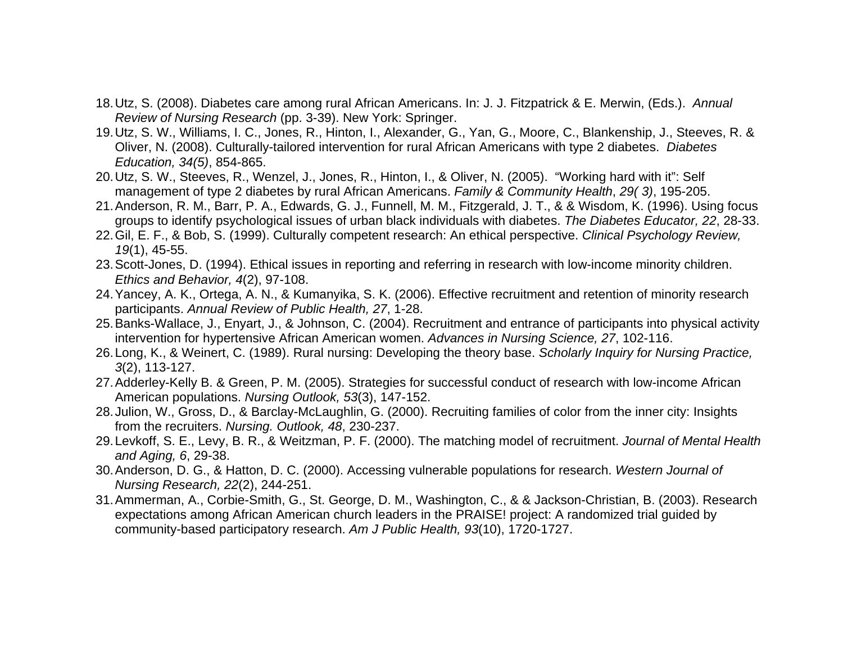- 18. Utz, S. (2008). Diabetes care among rural African Americans. In: J. J. Fitzpatrick & E. Merwin, (Eds.). *Annual Review of Nursing Research* (pp. 3-39). New York: Springer.
- 19. Utz, S. W., Williams, I. C., Jones, R., Hinton, I., Alexander, G., Yan, G., Moore, C., Blankenship, J., Steeves, R. & Oliver, N. (2008). Culturally-tailored intervention for rural African Americans with type 2 diabetes. *Diabetes Education, 34(5)*, 854-865.
- 20. Utz, S. W., Steeves, R., Wenzel, J., Jones, R., Hinton, I., & Oliver, N. (2005). "Working hard with it": Self management of type 2 diabetes by rural African Americans. *Family & Community Health*, *29( 3)*, 195-205.
- 21. Anderson, R. M., Barr, P. A., Edwards, G. J., Funnell, M. M., Fitzgerald, J. T., & & Wisdom, K. (1996). Using focus groups to identify psychological issues of urban black individuals with diabetes. *The Diabetes Educator, 22*, 28-33.
- 22. Gil, E. F., & Bob, S. (1999). Culturally competent research: An ethical perspective. *Clinical Psychology Review, 19*(1), 45-55.
- 23. Scott-Jones, D. (1994). Ethical issues in reporting and referring in research with low-income minority children. *Ethics and Behavior, 4*(2), 97-108.
- 24. Yancey, A. K., Ortega, A. N., & Kumanyika, S. K. (2006). Effective recruitment and retention of minority research participants. *Annual Review of Public Health, 27*, 1-28.
- 25. Banks-Wallace, J., Enyart, J., & Johnson, C. (2004). Recruitment and entrance of participants into physical activity intervention for hypertensive African American women. *Advances in Nursing Science, 27*, 102-116.
- 26. Long, K., & Weinert, C. (1989). Rural nursing: Developing the theory base. *Scholarly Inquiry for Nursing Practice, 3*(2), 113-127.
- 27. Adderley-Kelly B. & Green, P. M. (2005). Strategies for successful conduct of research with low-income African American populations. *Nursing Outlook, 53*(3), 147-152.
- 28. Julion, W., Gross, D., & Barclay-McLaughlin, G. (2000). Recruiting families of color from the inner city: Insights from the recruiters. *Nursing. Outlook, 48*, 230-237.
- 29. Levkoff, S. E., Levy, B. R., & Weitzman, P. F. (2000). The matching model of recruitment. *Journal of Mental Health and Aging, 6*, 29-38.
- 30. Anderson, D. G., & Hatton, D. C. (2000). Accessing vulnerable populations for research. *Western Journal of Nursing Research, 22*(2), 244-251.
- 31. Ammerman, A., Corbie-Smith, G., St. George, D. M., Washington, C., & & Jackson-Christian, B. (2003). Research expectations among African American church leaders in the PRAISE! project: A randomized trial guided by community-based participatory research. *Am J Public Health, 93*(10), 1720-1727.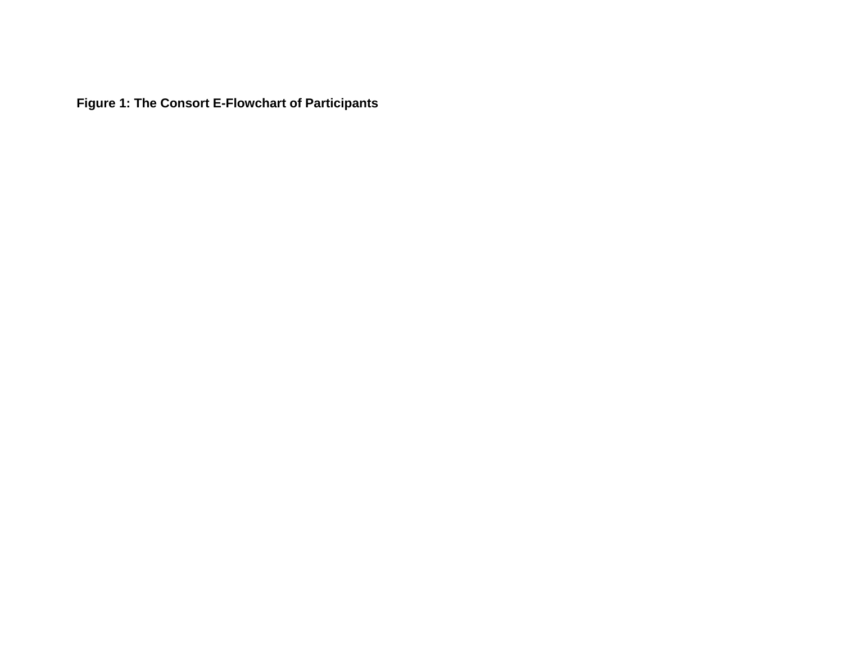**Figure 1: The Consort E-Flowchart of Participants**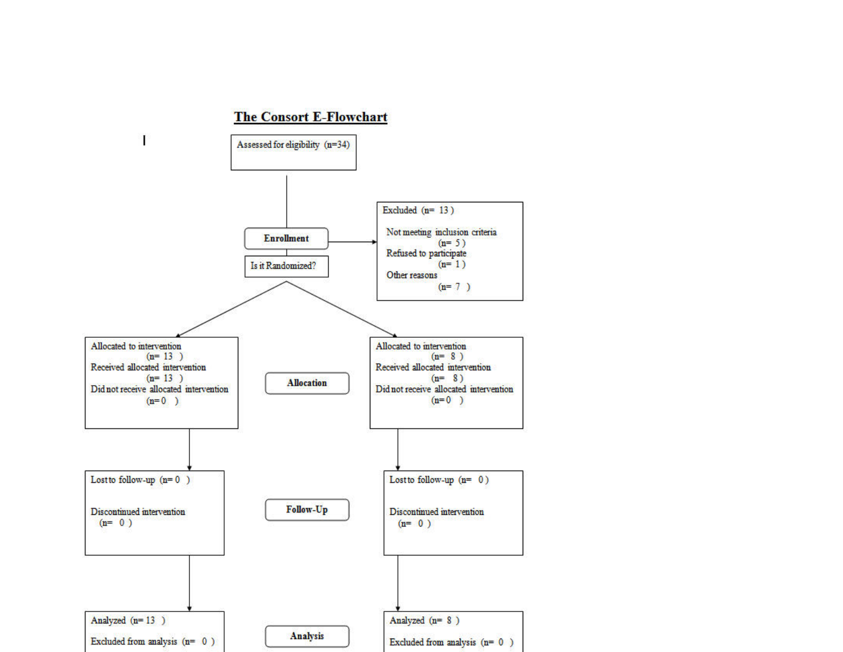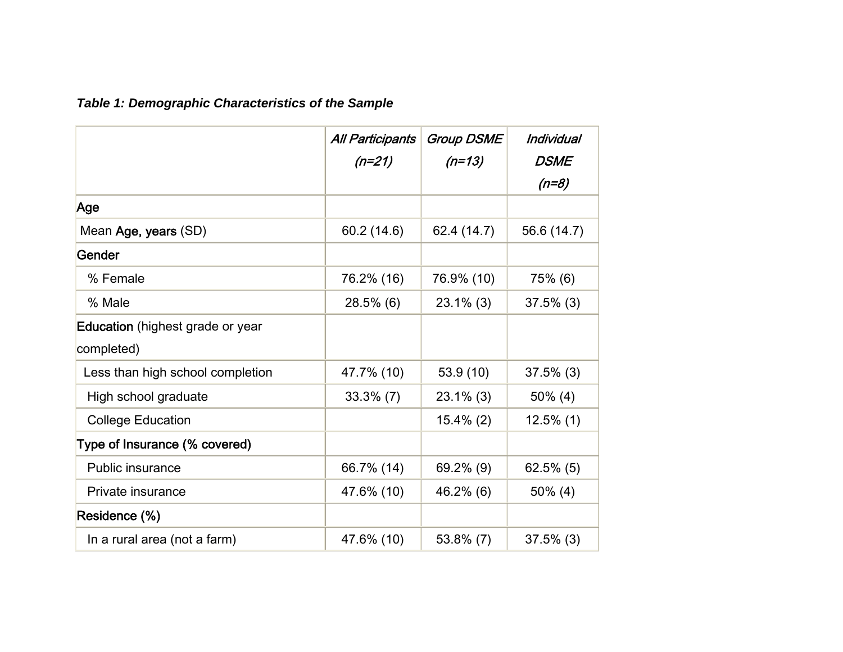# *Table 1: Demographic Characteristics of the Sample*

|                                  | <b>All Participants</b><br>$(n=21)$ | <b>Group DSME</b><br>$(n=13)$ | Individual<br>DSME |
|----------------------------------|-------------------------------------|-------------------------------|--------------------|
|                                  |                                     |                               | $(n=8)$            |
| Age                              |                                     |                               |                    |
| Mean Age, years (SD)             | 60.2 (14.6)                         | 62.4 (14.7)                   | 56.6 (14.7)        |
| Gender                           |                                     |                               |                    |
| % Female                         | 76.2% (16)                          | 76.9% (10)                    | 75% (6)            |
| % Male                           | $28.5\%$ (6)                        | $23.1\%$ (3)                  | $37.5\%$ (3)       |
| Education (highest grade or year |                                     |                               |                    |
| completed)                       |                                     |                               |                    |
| Less than high school completion | 47.7% (10)                          | 53.9 (10)                     | $37.5\%$ (3)       |
| High school graduate             | $33.3\%$ (7)                        | $23.1\%$ (3)                  | $50\%$ (4)         |
| <b>College Education</b>         |                                     | $15.4\%$ (2)                  | $12.5\%$ (1)       |
| Type of Insurance (% covered)    |                                     |                               |                    |
| Public insurance                 | 66.7% (14)                          | $69.2\%$ (9)                  | $62.5\%$ (5)       |
| Private insurance                | 47.6% (10)                          | 46.2% (6)                     | $50\%$ (4)         |
| Residence (%)                    |                                     |                               |                    |
| In a rural area (not a farm)     | 47.6% (10)                          | $53.8\%$ (7)                  | $37.5\%$ (3)       |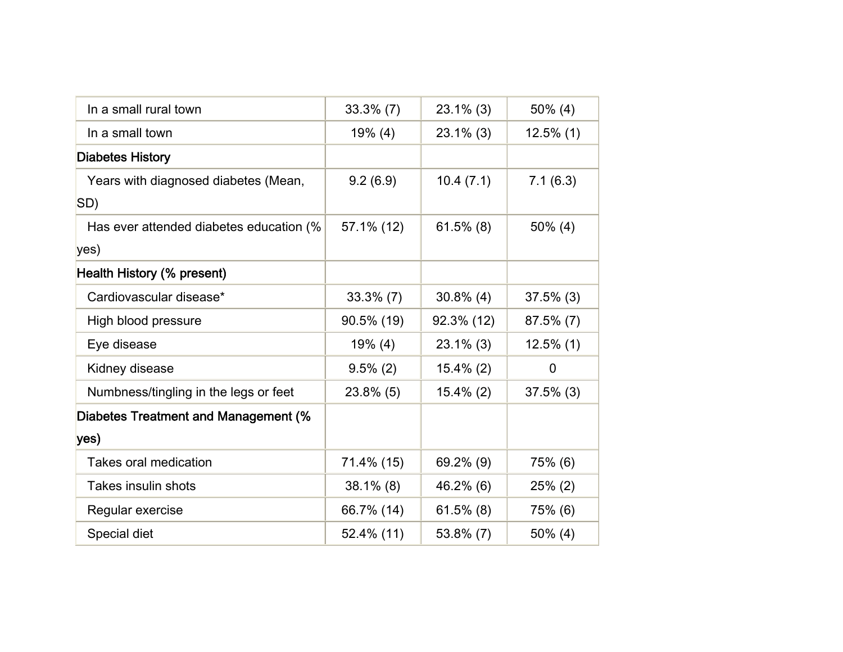| In a small rural town                   | $33.3\%$ (7) | $23.1\%$ (3) | $50\%$ (4)     |
|-----------------------------------------|--------------|--------------|----------------|
| In a small town                         | $19\%$ (4)   | $23.1\%$ (3) | $12.5\%$ (1)   |
| <b>Diabetes History</b>                 |              |              |                |
| Years with diagnosed diabetes (Mean,    | 9.2(6.9)     | 10.4(7.1)    | 7.1(6.3)       |
| SD)                                     |              |              |                |
| Has ever attended diabetes education (% | 57.1% (12)   | $61.5\%$ (8) | $50\%$ (4)     |
| yes)                                    |              |              |                |
| Health History (% present)              |              |              |                |
| Cardiovascular disease*                 | $33.3\%$ (7) | $30.8\%$ (4) | $37.5\%$ (3)   |
| High blood pressure                     | 90.5% (19)   | 92.3% (12)   | $87.5\%$ (7)   |
| Eye disease                             | $19\%$ (4)   | $23.1\%$ (3) | $12.5\%$ (1)   |
| Kidney disease                          | $9.5\%$ (2)  | $15.4\%$ (2) | $\overline{0}$ |
| Numbness/tingling in the legs or feet   | 23.8% (5)    | $15.4\%$ (2) | $37.5\%$ (3)   |
| Diabetes Treatment and Management (%    |              |              |                |
| yes)                                    |              |              |                |
| Takes oral medication                   | 71.4% (15)   | 69.2% (9)    | 75% (6)        |
| Takes insulin shots                     | $38.1\%$ (8) | 46.2% (6)    | $25\%$ (2)     |
| Regular exercise                        | 66.7% (14)   | $61.5\%$ (8) | 75% (6)        |
| Special diet                            | 52.4% (11)   | 53.8% (7)    | $50\%$ (4)     |
|                                         |              |              |                |